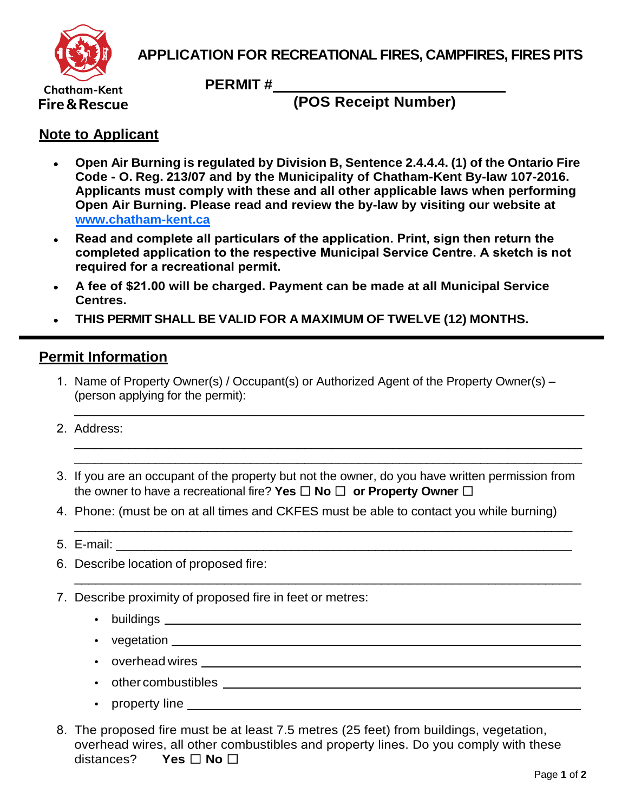

## **APPLICATION FOR RECREATIONAL FIRES, CAMPFIRES, FIRES PITS**

**Chatham-Kent** Fire & Rescue **PERMIT #** 

**(POS Receipt Number)**

## **Note to Applicant**

- **Open Air Burning is regulated by Division B, Sentence 2.4.4.4. (1) of the Ontario Fire Code - O. Reg. 213/07 and by the Municipality of Chatham-Kent By-law 107-2016. Applicants must comply with these and all other applicable laws when performing Open Air Burning. Please read and review the by-law by visiting our website at www.chatham-kent.ca**
- **[Read and complete all](https://www.chatham-kent.ca/community-services/fire-department) particulars of the application. Print, sign then return the completed application to the respective Municipal Service Centre. A sketch is not required for a recreational permit.**
- **A fee of \$21.00 will be charged. Payment can be made at all Municipal Service Centres.**
- **THIS PERMIT SHALL BE VALID FOR A MAXIMUM OF TWELVE (12) MONTHS.**

## **Permit Information**

1. Name of Property Owner(s) / Occupant(s) or Authorized Agent of the Property Owner(s) – (person applying for the permit):

\_\_\_\_\_\_\_\_\_\_\_\_\_\_\_\_\_\_\_\_\_\_\_\_\_\_\_\_\_\_\_\_\_\_\_\_\_\_\_\_\_\_\_\_\_\_\_\_\_\_\_\_\_\_\_\_\_\_\_\_\_\_\_\_\_\_\_\_\_\_\_\_\_\_

\_\_\_\_\_\_\_\_\_\_\_\_\_\_\_\_\_\_\_\_\_\_\_\_\_\_\_\_\_\_\_\_\_\_\_\_\_\_\_\_\_\_\_\_\_\_\_\_\_\_\_\_\_\_\_\_\_\_\_\_\_\_\_\_\_\_\_\_\_\_\_\_\_\_\_ \_\_\_\_\_\_\_\_\_\_\_\_\_\_\_\_\_\_\_\_\_\_\_\_\_\_\_\_\_\_\_\_\_\_\_\_\_\_\_\_\_\_\_\_\_\_\_\_\_\_\_\_\_\_\_\_\_\_\_\_\_\_\_\_\_\_\_\_\_\_\_\_\_\_\_

- 2. Address:
- 3. If you are an occupant of the property but not the owner, do you have written permission from the owner to have a recreational fire? **Yes** ☐ **No** ☐ **or Property Owner** ☐

 $\overline{\phantom{a}}$  , and the contract of the contract of the contract of the contract of the contract of the contract of the contract of the contract of the contract of the contract of the contract of the contract of the contrac

\_\_\_\_\_\_\_\_\_\_\_\_\_\_\_\_\_\_\_\_\_\_\_\_\_\_\_\_\_\_\_\_\_\_\_\_\_\_\_\_\_\_\_\_\_\_\_\_\_\_\_\_\_\_\_\_\_\_\_\_\_\_\_\_\_\_\_\_\_\_\_

- 4. Phone: (must be on at all times and CKFES must be able to contact you while burning)
- 5. E-mail: 2008. 2009. 2009. 2009. 2009. 2009. 2009. 2009. 2009. 2009. 2009. 2009. 2009. 2009. 2009. 2009. 200
- 6. Describe location of proposed fire:
- 7. Describe proximity of proposed fire in feet or metres:
	- buildings
	- vegetation
	- overhead wires
	- other combustibles <u>experiences</u> and the combustibles and the combustibles and the combustibles of the combustibles
	- property line \_\_\_\_\_\_
- 8. The proposed fire must be at least 7.5 metres (25 feet) from buildings, vegetation, overhead wires, all other combustibles and property lines. Do you comply with these distances? **Yes** ☐ **No** ☐